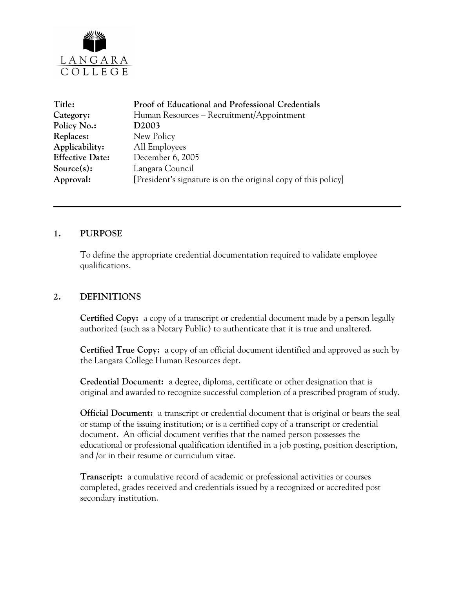

| <b>Proof of Educational and Professional Credentials</b>       |
|----------------------------------------------------------------|
| Human Resources - Recruitment/Appointment                      |
| D <sub>2003</sub>                                              |
| New Policy                                                     |
| All Employees                                                  |
| December 6, 2005                                               |
| Langara Council                                                |
| [President's signature is on the original copy of this policy] |
|                                                                |

#### **1. PURPOSE**

To define the appropriate credential documentation required to validate employee qualifications.

#### **2. DEFINITIONS**

**Certified Copy:** a copy of a transcript or credential document made by a person legally authorized (such as a Notary Public) to authenticate that it is true and unaltered.

**Certified True Copy:** a copy of an official document identified and approved as such by the Langara College Human Resources dept.

**Credential Document:** a degree, diploma, certificate or other designation that is original and awarded to recognize successful completion of a prescribed program of study.

**Official Document:** a transcript or credential document that is original or bears the seal or stamp of the issuing institution; or is a certified copy of a transcript or credential document. An official document verifies that the named person possesses the educational or professional qualification identified in a job posting, position description, and /or in their resume or curriculum vitae.

**Transcript:** a cumulative record of academic or professional activities or courses completed, grades received and credentials issued by a recognized or accredited post secondary institution.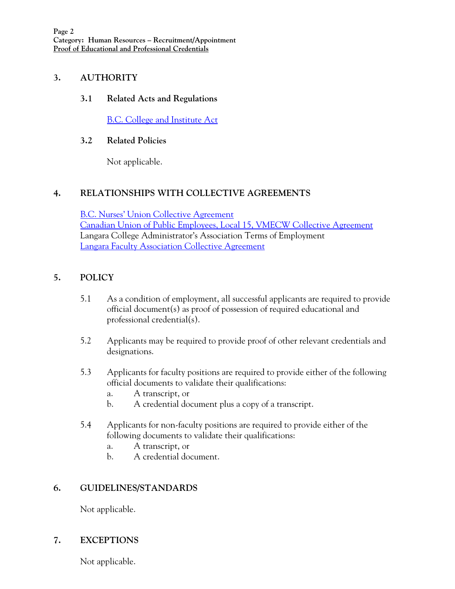### **3. AUTHORITY**

### **3.1 Related Acts and Regulations**

[B.C. College and Institute Act](http://www.qp.gov.bc.ca/statreg/stat/C/96052_01.htm)

### **3.2 Related Policies**

Not applicable.

# **4. RELATIONSHIPS WITH COLLECTIVE AGREEMENTS**

[B.C. Nurses' Union Collective Agreement](http://www.langara.bc.ca/hr/nurses.html) [Canadian Union of Public Employees, Local 15, VMECW Collective Agreement](http://www.langara.bc.ca/hr/01-CA-CUPE-final-1.pdf) Langara College Administrator's Association Terms of Employment [Langara Faculty Association Collective Agreement](http://www.langara.bc.ca/hr/LFA.pdf)

# **5. POLICY**

- 5.1 As a condition of employment, all successful applicants are required to provide official document(s) as proof of possession of required educational and professional credential(s).
- 5.2 Applicants may be required to provide proof of other relevant credentials and designations.
- 5.3 Applicants for faculty positions are required to provide either of the following official documents to validate their qualifications:
	- a. A transcript, or
	- b. A credential document plus a copy of a transcript.
- 5.4 Applicants for non-faculty positions are required to provide either of the following documents to validate their qualifications:
	- a. A transcript, or
	- b. A credential document.

### **6. GUIDELINES/STANDARDS**

Not applicable.

# **7. EXCEPTIONS**

Not applicable.